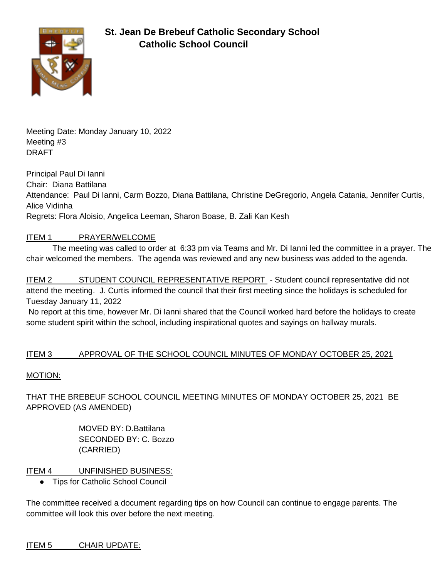

Meeting Date: Monday January 10, 2022 Meeting #3 DRAFT

Principal Paul Di Ianni Chair: Diana Battilana Attendance: Paul Di Ianni, Carm Bozzo, Diana Battilana, Christine DeGregorio, Angela Catania, Jennifer Curtis, Alice Vidinha Regrets: Flora Aloisio, Angelica Leeman, Sharon Boase, B. Zali Kan Kesh

# ITEM 1 PRAYER/WELCOME

The meeting was called to order at 6:33 pm via Teams and Mr. Di Ianni led the committee in a prayer. The chair welcomed the members. The agenda was reviewed and any new business was added to the agenda.

ITEM 2 STUDENT COUNCIL REPRESENTATIVE REPORT - Student council representative did not attend the meeting. J. Curtis informed the council that their first meeting since the holidays is scheduled for Tuesday January 11, 2022

No report at this time, however Mr. Di Ianni shared that the Council worked hard before the holidays to create some student spirit within the school, including inspirational quotes and sayings on hallway murals.

# ITEM 3 APPROVAL OF THE SCHOOL COUNCIL MINUTES OF MONDAY OCTOBER 25, 2021

# MOTION:

THAT THE BREBEUF SCHOOL COUNCIL MEETING MINUTES OF MONDAY OCTOBER 25, 2021 BE APPROVED (AS AMENDED)

> MOVED BY: D.Battilana SECONDED BY: C. Bozzo (CARRIED)

# ITEM 4 UNFINISHED BUSINESS:

**Tips for Catholic School Council** 

The committee received a document regarding tips on how Council can continue to engage parents. The committee will look this over before the next meeting.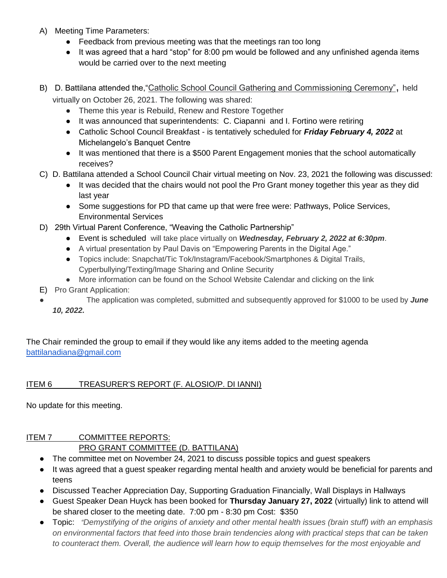- A) Meeting Time Parameters:
	- Feedback from previous meeting was that the meetings ran too long
	- It was agreed that a hard "stop" for 8:00 pm would be followed and any unfinished agenda items would be carried over to the next meeting
- B) D. Battilana attended the, "Catholic School Council Gathering and Commissioning Ceremony", held virtually on October 26, 2021. The following was shared:
	- Theme this year is Rebuild, Renew and Restore Together
	- It was announced that superintendents: C. Ciapanni and I. Fortino were retiring
	- Catholic School Council Breakfast is tentatively scheduled for *Friday February 4, 2022* at Michelangelo's Banquet Centre
	- It was mentioned that there is a \$500 Parent Engagement monies that the school automatically receives?
- C) D. Battilana attended a School Council Chair virtual meeting on Nov. 23, 2021 the following was discussed:
	- It was decided that the chairs would not pool the Pro Grant money together this year as they did last year
	- Some suggestions for PD that came up that were free were: Pathways, Police Services, Environmental Services
- D) 29th Virtual Parent Conference, "Weaving the Catholic Partnership"
	- Event is scheduled will take place virtually on *Wednesday, February 2, 2022 at 6:30pm*.
	- A virtual presentation by Paul Davis on "Empowering Parents in the Digital Age."
	- Topics include: Snapchat/Tic Tok/Instagram/Facebook/Smartphones & Digital Trails, Cyperbullying/Texting/Image Sharing and Online Security
	- More information can be found on the School Website Calendar and clicking on the link
- E) Pro Grant Application:
- The application was completed, submitted and subsequently approved for \$1000 to be used by **June** *10, 2022.*

The Chair reminded the group to email if they would like any items added to the meeting agenda [battilanadiana@gmail.com](mailto:battilanadiana@gmail.com)

# ITEM 6 TREASURER'S REPORT (F. ALOSIO/P. DI IANNI)

No update for this meeting.

# ITEM 7 COMMITTEE REPORTS:

# PRO GRANT COMMITTEE (D. BATTILANA)

- The committee met on November 24, 2021 to discuss possible topics and quest speakers
- It was agreed that a guest speaker regarding mental health and anxiety would be beneficial for parents and teens
- Discussed Teacher Appreciation Day, Supporting Graduation Financially, Wall Displays in Hallways
- Guest Speaker Dean Huyck has been booked for **Thursday January 27, 2022** (virtually) link to attend will be shared closer to the meeting date. 7:00 pm - 8:30 pm Cost: \$350
- Topic: *"Demystifying of the origins of anxiety and other mental health issues (brain stuff) with an emphasis on environmental factors that feed into those brain tendencies along with practical steps that can be taken to counteract them. Overall, the audience will learn how to equip themselves for the most enjoyable and*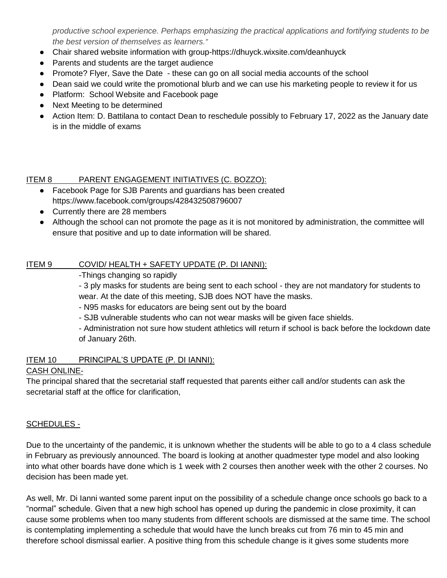*productive school experience. Perhaps emphasizing the practical applications and fortifying students to be the best version of themselves as learners."* 

- Chair shared website information with group-https://dhuyck.wixsite.com/deanhuyck
- Parents and students are the target audience
- Promote? Flyer, Save the Date these can go on all social media accounts of the school
- Dean said we could write the promotional blurb and we can use his marketing people to review it for us
- Platform: School Website and Facebook page
- Next Meeting to be determined
- Action Item: D. Battilana to contact Dean to reschedule possibly to February 17, 2022 as the January date is in the middle of exams

#### ITEM 8 PARENT ENGAGEMENT INITIATIVES (C. BOZZO):

- Facebook Page for SJB Parents and guardians has been created https://www.facebook.com/groups/428432508796007
- Currently there are 28 members
- Although the school can not promote the page as it is not monitored by administration, the committee will ensure that positive and up to date information will be shared.

#### ITEM 9 COVID/ HEALTH + SAFETY UPDATE (P. DI IANNI):

-Things changing so rapidly

- 3 ply masks for students are being sent to each school - they are not mandatory for students to wear. At the date of this meeting, SJB does NOT have the masks.

- N95 masks for educators are being sent out by the board
- SJB vulnerable students who can not wear masks will be given face shields.

- Administration not sure how student athletics will return if school is back before the lockdown date of January 26th.

#### ITEM 10 PRINCIPAL'S UPDATE (P. DI IANNI):

#### CASH ONLINE-

The principal shared that the secretarial staff requested that parents either call and/or students can ask the secretarial staff at the office for clarification,

#### SCHEDULES -

Due to the uncertainty of the pandemic, it is unknown whether the students will be able to go to a 4 class schedule in February as previously announced. The board is looking at another quadmester type model and also looking into what other boards have done which is 1 week with 2 courses then another week with the other 2 courses. No decision has been made yet.

As well, Mr. Di Ianni wanted some parent input on the possibility of a schedule change once schools go back to a "normal" schedule. Given that a new high school has opened up during the pandemic in close proximity, it can cause some problems when too many students from different schools are dismissed at the same time. The school is contemplating implementing a schedule that would have the lunch breaks cut from 76 min to 45 min and therefore school dismissal earlier. A positive thing from this schedule change is it gives some students more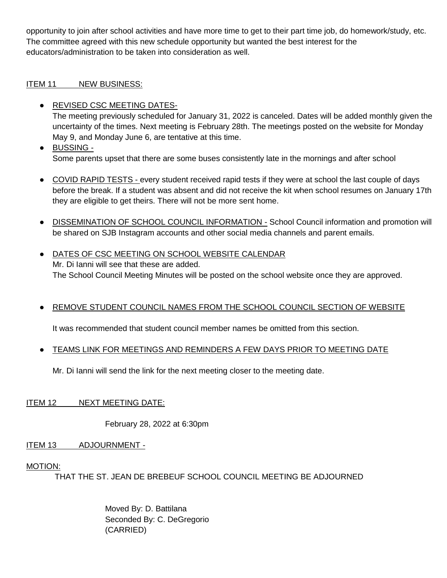opportunity to join after school activities and have more time to get to their part time job, do homework/study, etc. The committee agreed with this new schedule opportunity but wanted the best interest for the educators/administration to be taken into consideration as well.

### ITEM 11 NEW BUSINESS:

- REVISED CSC MEETING DATES-The meeting previously scheduled for January 31, 2022 is canceled. Dates will be added monthly given the uncertainty of the times. Next meeting is February 28th. The meetings posted on the website for Monday May 9, and Monday June 6, are tentative at this time.
- BUSSING Some parents upset that there are some buses consistently late in the mornings and after school
- COVID RAPID TESTS every student received rapid tests if they were at school the last couple of days before the break. If a student was absent and did not receive the kit when school resumes on January 17th they are eligible to get theirs. There will not be more sent home.
- DISSEMINATION OF SCHOOL COUNCIL INFORMATION School Council information and promotion will be shared on SJB Instagram accounts and other social media channels and parent emails.
- DATES OF CSC MEETING ON SCHOOL WEBSITE CALENDAR Mr. Di Ianni will see that these are added. The School Council Meeting Minutes will be posted on the school website once they are approved.
- **EREMOVE STUDENT COUNCIL NAMES FROM THE SCHOOL COUNCIL SECTION OF WEBSITE**

It was recommended that student council member names be omitted from this section.

TEAMS LINK FOR MEETINGS AND REMINDERS A FEW DAYS PRIOR TO MEETING DATE

Mr. Di Ianni will send the link for the next meeting closer to the meeting date.

# ITEM 12 NEXT MEETING DATE:

February 28, 2022 at 6:30pm

ITEM 13 ADJOURNMENT -

# MOTION:

THAT THE ST. JEAN DE BREBEUF SCHOOL COUNCIL MEETING BE ADJOURNED

Moved By: D. Battilana Seconded By: C. DeGregorio (CARRIED)